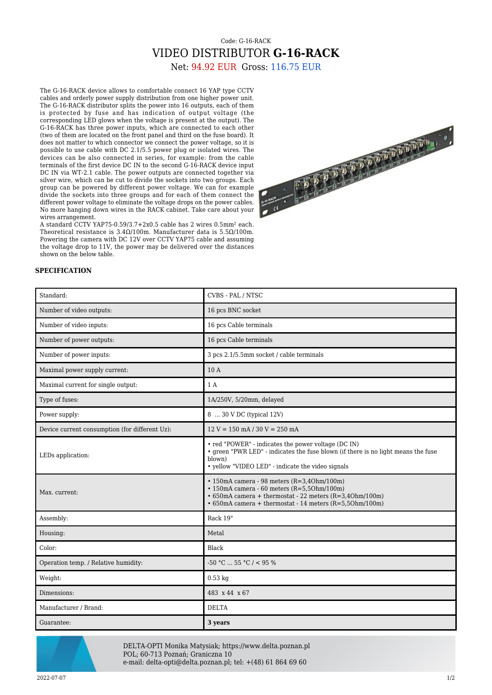## Code: G-16-RACK VIDEO DISTRIBUTOR **G-16-RACK**

Net: 94.92 EUR Gross: 116.75 EUR

The G-16-RACK device allows to comfortable connect 16 YAP type CCTV cables and orderly power supply distribution from one higher power unit. The G-16-RACK distributor splits the power into 16 outputs, each of them is protected by fuse and has indication of output voltage (the corresponding LED glows when the voltage is present at the output). The G-16-RACK has three power inputs, which are connected to each other (two of them are located on the front panel and third on the fuse board). It does not matter to which connector we connect the power voltage, so it is possible to use cable with DC 2.1/5.5 power plug or isolated wires. The devices can be also connected in series, for example: from the cable terminals of the first device DC IN to the second G-16-RACK device input DC IN via WT-2.1 cable. The power outputs are connected together via silver wire, which can be cut to divide the sockets into two groups. Each group can be powered by different power voltage. We can for example divide the sockets into three groups and for each of them connect the different power voltage to eliminate the voltage drops on the power cables. No more hanging down wires in the RACK cabinet. Take care about your wires arrangement.

A standard CCTV YAP75-0.59/3.7+2x0.5 cable has 2 wires 0.5mm² each. Theoretical resistance is  $3.4\Omega/100$ m. Manufacturer data is  $5.5\Omega/100$ m. Powering the camera with DC 12V over CCTV YAP75 cable and assuming the voltage drop to 11V, the power may be delivered over the distances shown on the below table.



## **SPECIFICATION**

| Standard:                                      | CVBS - PAL / NTSC                                                                                                                                                                                                                      |
|------------------------------------------------|----------------------------------------------------------------------------------------------------------------------------------------------------------------------------------------------------------------------------------------|
| Number of video outputs:                       | 16 pcs BNC socket                                                                                                                                                                                                                      |
| Number of video inputs:                        | 16 pcs Cable terminals                                                                                                                                                                                                                 |
| Number of power outputs:                       | 16 pcs Cable terminals                                                                                                                                                                                                                 |
| Number of power inputs:                        | 3 pcs 2.1/5.5mm socket / cable terminals                                                                                                                                                                                               |
| Maximal power supply current:                  | 10A                                                                                                                                                                                                                                    |
| Maximal current for single output:             | 1 A                                                                                                                                                                                                                                    |
| Type of fuses:                                 | 1A/250V, 5/20mm, delayed                                                                                                                                                                                                               |
| Power supply:                                  | 8  30 V DC (typical 12V)                                                                                                                                                                                                               |
| Device current consumption (for different Uz): | $12 V = 150$ mA $/ 30 V = 250$ mA                                                                                                                                                                                                      |
| LEDs application:                              | • red "POWER" - indicates the power voltage (DC IN)<br>• green "PWR LED" - indicates the fuse blown (if there is no light means the fuse<br>blown)<br>• yellow "VIDEO LED" - indicate the video signals                                |
| Max. current:                                  | $\cdot$ 150mA camera - 98 meters (R=3,40hm/100m)<br>$\cdot$ 150mA camera - 60 meters (R=5,50hm/100m)<br>$\cdot$ 650mA camera + thermostat - 22 meters (R=3,40hm/100m)<br>$\cdot$ 650mA camera + thermostat - 14 meters (R=5,50hm/100m) |
| Assembly:                                      | Rack 19"                                                                                                                                                                                                                               |
| Housing:                                       | Metal                                                                                                                                                                                                                                  |
| Color:                                         | Black                                                                                                                                                                                                                                  |
| Operation temp. / Relative humidity:           | $-50$ °C  55 °C / < 95 %                                                                                                                                                                                                               |
| Weight:                                        | $0.53$ kg                                                                                                                                                                                                                              |
| Dimensions:                                    | 483 x 44 x 67                                                                                                                                                                                                                          |
| Manufacturer / Brand:                          | <b>DELTA</b>                                                                                                                                                                                                                           |
| Guarantee:                                     | 3 years                                                                                                                                                                                                                                |



DELTA-OPTI Monika Matysiak; https://www.delta.poznan.pl POL; 60-713 Poznań; Graniczna 10 e-mail: delta-opti@delta.poznan.pl; tel: +(48) 61 864 69 60